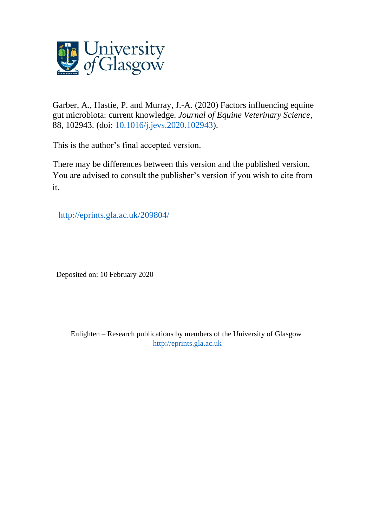

Garber, A., Hastie, P. and Murray, J.-A. (2020) Factors influencing equine gut microbiota: current knowledge. *Journal of Equine Veterinary Science*, 88, 102943. (doi: [10.1016/j.jevs.2020.102943\)](http://dx.doi.org/10.1016/j.jevs.2020.102943).

This is the author's final accepted version.

There may be differences between this version and the published version. You are advised to consult the publisher's version if you wish to cite from it.

[http://eprints.gla.ac.uk/209804/](http://eprints.gla.ac.uk/220667/) 

Deposited on: 10 February 2020

Enlighten – Research publications by members of the University of Glasgow [http://eprints.gla.ac.uk](http://eprints.gla.ac.uk/)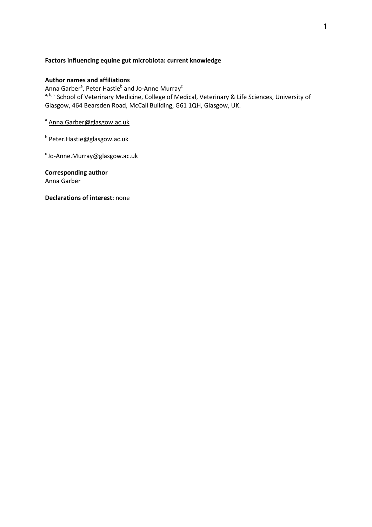# **Factors influencing equine gut microbiota: current knowledge**

# **Author names and affiliations**

Anna Garber<sup>a</sup>, Peter Hastie<sup>b</sup> and Jo-Anne Murray<sup>c</sup> a, b, c School of Veterinary Medicine, College of Medical, Veterinary & Life Sciences, University of Glasgow, 464 Bearsden Road, McCall Building, G61 1QH, Glasgow, UK.

<sup>a</sup> Anna.Garber@glasgow.ac.uk

<sup>b</sup> Peter.Hastie@glasgow.ac.uk

 $c$ Jo-Anne.Murray@glasgow.ac.uk

**Corresponding author**  Anna Garber

**Declarations of interest:** none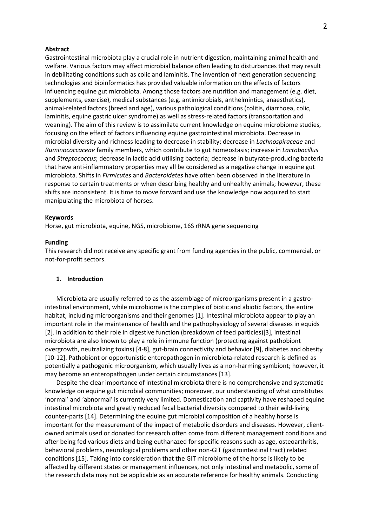#### **Abstract**

Gastrointestinal microbiota play a crucial role in nutrient digestion, maintaining animal health and welfare. Various factors may affect microbial balance often leading to disturbances that may result in debilitating conditions such as colic and laminitis. The invention of next generation sequencing technologies and bioinformatics has provided valuable information on the effects of factors influencing equine gut microbiota. Among those factors are nutrition and management (e.g. diet, supplements, exercise), medical substances (e.g. antimicrobials, anthelmintics, anaesthetics), animal-related factors (breed and age), various pathological conditions (colitis, diarrhoea, colic, laminitis, equine gastric ulcer syndrome) as well as stress-related factors (transportation and weaning). The aim of this review is to assimilate current knowledge on equine microbiome studies, focusing on the effect of factors influencing equine gastrointestinal microbiota. Decrease in microbial diversity and richness leading to decrease in stability; decrease in *Lachnospiraceae* and *Ruminococcaceae* family members, which contribute to gut homeostasis; increase in *Lactobacillus* and *Streptococcus*; decrease in lactic acid utilising bacteria; decrease in butyrate-producing bacteria that have anti-inflammatory properties may all be considered as a negative change in equine gut microbiota. Shifts in *Firmicutes* and *Bacteroidetes* have often been observed in the literature in response to certain treatments or when describing healthy and unhealthy animals; however, these shifts are inconsistent. It is time to move forward and use the knowledge now acquired to start manipulating the microbiota of horses.

#### **Keywords**

Horse, gut microbiota, equine, NGS, microbiome, 16S rRNA gene sequencing

#### **Funding**

This research did not receive any specific grant from funding agencies in the public, commercial, or not-for-profit sectors.

### **1. Introduction**

Microbiota are usually referred to as the assemblage of microorganisms present in a gastrointestinal environment, while microbiome is the complex of biotic and abiotic factors, the entire habitat, including microorganisms and their genomes [1]. Intestinal microbiota appear to play an important role in the maintenance of health and the pathophysiology of several diseases in equids [2]. In addition to their role in digestive function (breakdown of feed particles)[3], intestinal microbiota are also known to play a role in immune function (protecting against pathobiont overgrowth, neutralizing toxins) [4-8], gut-brain connectivity and behavior [9], diabetes and obesity [10-12]. Pathobiont or opportunistic enteropathogen in microbiota-related research is defined as potentially a pathogenic microorganism, which usually lives as a non-harming symbiont; however, it may become an enteropathogen under certain circumstances [13].

Despite the clear importance of intestinal microbiota there is no comprehensive and systematic knowledge on equine gut microbial communities; moreover, our understanding of what constitutes 'normal' and 'abnormal' is currently very limited. Domestication and captivity have reshaped equine intestinal microbiota and greatly reduced fecal bacterial diversity compared to their wild-living counter-parts [14]. Determining the equine gut microbial composition of a healthy horse is important for the measurement of the impact of metabolic disorders and diseases. However, clientowned animals used or donated for research often come from different management conditions and after being fed various diets and being euthanazed for specific reasons such as age, osteoarthritis, behavioral problems, neurological problems and other non-GIT (gastrointestinal tract) related conditions [15]. Taking into consideration that the GIT microbiome of the horse is likely to be affected by different states or management influences, not only intestinal and metabolic, some of the research data may not be applicable as an accurate reference for healthy animals. Conducting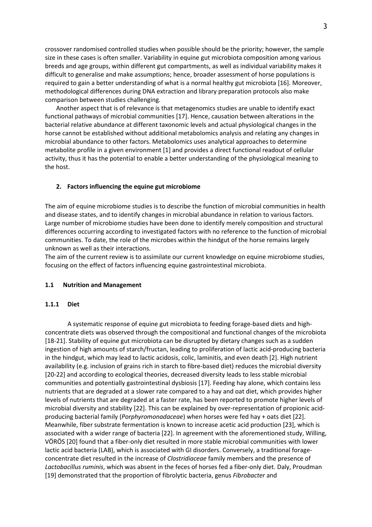crossover randomised controlled studies when possible should be the priority; however, the sample size in these cases is often smaller. Variability in equine gut microbiota composition among various breeds and age groups, within different gut compartments, as well as individual variability makes it difficult to generalise and make assumptions; hence, broader assessment of horse populations is required to gain a better understanding of what is a normal healthy gut microbiota [16]. Moreover, methodological differences during DNA extraction and library preparation protocols also make comparison between studies challenging.

Another aspect that is of relevance is that metagenomics studies are unable to identify exact functional pathways of microbial communities [17]. Hence, causation between alterations in the bacterial relative abundance at different taxonomic levels and actual physiological changes in the horse cannot be established without additional metabolomics analysis and relating any changes in microbial abundance to other factors. Metabolomics uses analytical approaches to determine metabolite profile in a given environment [1] and provides a direct functional readout of cellular activity, thus it has the potential to enable a better understanding of the physiological meaning to the host.

## **2. Factors influencing the equine gut microbiome**

The aim of equine microbiome studies is to describe the function of microbial communities in health and disease states, and to identify changes in microbial abundance in relation to various factors. Large number of microbiome studies have been done to identify merely composition and structural differences occurring according to investigated factors with no reference to the function of microbial communities. To date, the role of the microbes within the hindgut of the horse remains largely unknown as well as their interactions.

The aim of the current review is to assimilate our current knowledge on equine microbiome studies, focusing on the effect of factors influencing equine gastrointestinal microbiota.

## **1.1 Nutrition and Management**

### **1.1.1 Diet**

A systematic response of equine gut microbiota to feeding forage-based diets and highconcentrate diets was observed through the compositional and functional changes of the microbiota [18-21]. Stability of equine gut microbiota can be disrupted by dietary changes such as a sudden ingestion of high amounts of starch/fructan, leading to proliferation of lactic acid-producing bacteria in the hindgut, which may lead to lactic acidosis, colic, laminitis, and even death [2]. High nutrient availability (e.g. inclusion of grains rich in starch to fibre-based diet) reduces the microbial diversity [20-22] and according to ecological theories, decreased diversity leads to less stable microbial communities and potentially gastrointestinal dysbiosis [17]. Feeding hay alone, which contains less nutrients that are degraded at a slower rate compared to a hay and oat diet, which provides higher levels of nutrients that are degraded at a faster rate, has been reported to promote higher levels of microbial diversity and stability [22]. This can be explained by over-representation of propionic acidproducing bacterial family (*Porphyromonadaceae*) when horses were fed hay + oats diet [22]. Meanwhile, fiber substrate fermentation is known to increase acetic acid production [23], which is associated with a wider range of bacteria [22]. In agreement with the aforementioned study, Willing, VÖRÖS [20] found that a fiber-only diet resulted in more stable microbial communities with lower lactic acid bacteria (LAB), which is associated with GI disorders. Conversely, a traditional forageconcentrate diet resulted in the increase of *Clostridiaceae* family members and the presence of *Lactobacillus ruminis*, which was absent in the feces of horses fed a fiber-only diet. Daly, Proudman [19] demonstrated that the proportion of fibrolytic bacteria, genus *Fibrobacter* and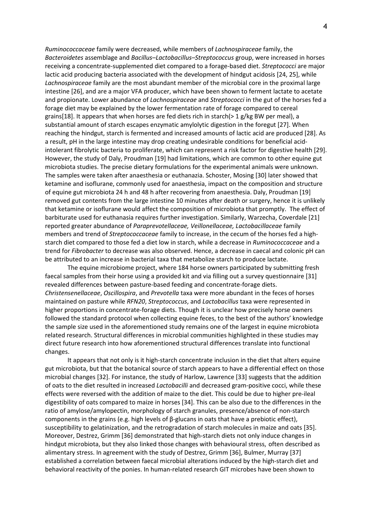*Ruminococcaceae* family were decreased, while members of *Lachnospiraceae* family, the *Bacteroidetes* assemblage and *Bacillus–Lactobacillus–Streptococcus* group, were increased in horses receiving a concentrate-supplemented diet compared to a forage-based diet. *Streptococci* are major lactic acid producing bacteria associated with the development of hindgut acidosis [24, 25], while *Lachnospiraceae* family are the most abundant member of the microbial core in the proximal large intestine [26], and are a major VFA producer, which have been shown to ferment lactate to acetate and propionate. Lower abundance of *Lachnospiraceae* and *Streptococci* in the gut of the horses fed a forage diet may be explained by the lower fermentation rate of forage compared to cereal grains[18]. It appears that when horses are fed diets rich in starch( $> 1$  g/kg BW per meal), a substantial amount of starch escapes enzymatic amylolytic digestion in the foregut [27]. When reaching the hindgut, starch is fermented and increased amounts of lactic acid are produced [28]. As a result, pH in the large intestine may drop creating undesirable conditions for beneficial acidintolerant fibrolytic bacteria to proliferate, which can represent a risk factor for digestive health [29]. However, the study of Daly, Proudman [19] had limitations, which are common to other equine gut microbiota studies. The precise dietary formulations for the experimental animals were unknown. The samples were taken after anaesthesia or euthanazia. Schoster, Mosing [30] later showed that ketamine and isoflurane, commonly used for anaesthesia, impact on the composition and structure of equine gut microbiota 24 h and 48 h after recovering from anaesthesia. Daly, Proudman [19] removed gut contents from the large intestine 10 minutes after death or surgery, hence it is unlikely that ketamine or isoflurane would affect the composition of microbiota that promptly. The effect of barbiturate used for euthanasia requires further investigation. Similarly, Warzecha, Coverdale [21] reported greater abundance of *Paraprevotellaceae, Veillonellaceae, Lactobacillaceae* family members and trend of *Streptococcaceae* family to increase, in the cecum of the horses fed a highstarch diet compared to those fed a diet low in starch, while a decrease in *Ruminococcaceae* and a trend for *Fibrobacter* to decrease was also observed. Hence, a decrease in caecal and colonic pH can be attributed to an increase in bacterial taxa that metabolize starch to produce lactate.

The equine microbiome project, where 184 horse owners participated by submitting fresh faecal samples from their horse using a provided kit and via filling out a survey questionnaire [31] revealed differences between pasture-based feeding and concentrate-forage diets. *Christensenellaceae*, *Oscillospira*, and *Prevotella* taxa were more abundant in the feces of horses maintained on pasture while *RFN20*, *Streptococcus*, and *Lactobacillus* taxa were represented in higher proportions in concentrate-forage diets. Though it is unclear how precisely horse owners followed the standard protocol when collecting equine feces, to the best of the authors' knowledge the sample size used in the aforementioned study remains one of the largest in equine microbiota related research. Structural differences in microbial communities highlighted in these studies may direct future research into how aforementioned structural differences translate into functional changes.

It appears that not only is it high-starch concentrate inclusion in the diet that alters equine gut microbiota, but that the botanical source of starch appears to have a differential effect on those microbial changes [32]. For instance, the study of Harlow, Lawrence [33] suggests that the addition of oats to the diet resulted in increased *Lactobacilli* and decreased gram-positive cocci, while these effects were reversed with the addition of maize to the diet. This could be due to higher pre-ileal digestibility of oats compared to maize in horses [34]. This can be also due to the differences in the ratio of amylose/amylopectin, morphology of starch granules, presence/absence of non-starch components in the grains (e.g. high levels of β-glucans in oats that have a prebiotic effect), susceptibility to gelatinization, and the retrogradation of starch molecules in maize and oats [35]. Moreover, Destrez, Grimm [36] demonstrated that high-starch diets not only induce changes in hindgut microbiota, but they also linked those changes with behavioural stress, often described as alimentary stress. In agreement with the study of Destrez, Grimm [36], Bulmer, Murray [37] established a correlation between faecal microbial alterations induced by the high-starch diet and behavioral reactivity of the ponies. In human-related research GIT microbes have been shown to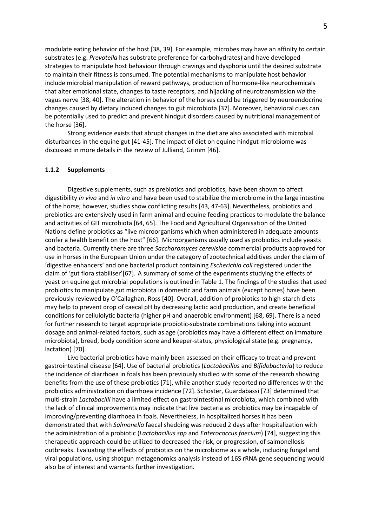modulate eating behavior of the host [38, 39]. For example, microbes may have an affinity to certain substrates (e.g. *Prevotella* has substrate preference for carbohydrates) and have developed strategies to manipulate host behaviour through cravings and dysphoria until the desired substrate to maintain their fitness is consumed. The potential mechanisms to manipulate host behavior include microbial manipulation of reward pathways, production of hormone-like neurochemicals that alter emotional state, changes to taste receptors, and hijacking of neurotransmission *via* the vagus nerve [38, 40]. The alteration in behavior of the horses could be triggered by neuroendocrine changes caused by dietary induced changes to gut microbiota [37]. Moreover, behavioral cues can be potentially used to predict and prevent hindgut disorders caused by nutritional management of the horse [36].

Strong evidence exists that abrupt changes in the diet are also associated with microbial disturbances in the equine gut [41-45]. The impact of diet on equine hindgut microbiome was discussed in more details in the review of Julliand, Grimm [46].

#### **1.1.2 Supplements**

Digestive supplements, such as prebiotics and probiotics, have been shown to affect digestibility *in vivo* and *in vitro* and have been used to stabilize the microbiome in the large intestine of the horse; however, studies show conflicting results [43, 47-63]. Nevertheless, probiotics and prebiotics are extensively used in farm animal and equine feeding practices to modulate the balance and activities of GIT microbiota [64, 65]. The Food and Agricultural Organisation of the United Nations define probiotics as "live microorganisms which when administered in adequate amounts confer a health benefit on the host" [66]. Microorganisms usually used as probiotics include yeasts and bacteria. Currently there are three *Saccharomyces cerevisiae* commercial products approved for use in horses in the European Union under the category of zootechnical additives under the claim of 'digestive enhancers' and one bacterial product containing *Escherichia coli* registered under the claim of 'gut flora stabiliser'[67]. A summary of some of the experiments studying the effects of yeast on equine gut microbial populations is outlined in Table 1. The findings of the studies that used probiotics to manipulate gut microbiota in domestic and farm animals (except horses) have been previously reviewed by O'Callaghan, Ross [40]. Overall, addition of probiotics to high-starch diets may help to prevent drop of caecal pH by decreasing lactic acid production, and create beneficial conditions for cellulolytic bacteria (higher pH and anaerobic environment) [68, 69]. There is a need for further research to target appropriate probiotic-substrate combinations taking into account dosage and animal-related factors, such as age (probiotics may have a different effect on immature microbiota), breed, body condition score and keeper-status, physiological state (e.g. pregnancy, lactation) [70].

Live bacterial probiotics have mainly been assessed on their efficacy to treat and prevent gastrointestinal disease [64]. Use of bacterial probiotics (*Lactobacillus* and *Bifidobacteria*) to reduce the incidence of diarrhoea in foals has been previously studied with some of the research showing benefits from the use of these probiotics [71], while another study reported no differences with the probiotics administration on diarrhoea incidence [72]. Schoster, Guardabassi [73] determined that multi-strain *Lactobacilli* have a limited effect on gastrointestinal microbiota, which combined with the lack of clinical improvements may indicate that live bacteria as probiotics may be incapable of improving/preventing diarrhoea in foals. Nevertheless, in hospitalized horses it has been demonstrated that with *Salmonella* faecal shedding was reduced 2 days after hospitalization with the administration of a probiotic (*Lactobacillus spp* and *Enterococcus faecium*) [74], suggesting this therapeutic approach could be utilized to decreased the risk, or progression, of salmonellosis outbreaks. Evaluating the effects of probiotics on the microbiome as a whole, including fungal and viral populations, using shotgun metagenomics analysis instead of 16S rRNA gene sequencing would also be of interest and warrants further investigation.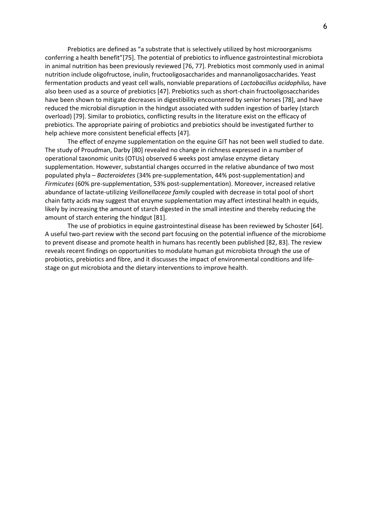Prebiotics are defined as "a substrate that is selectively utilized by host microorganisms conferring a health benefit"[75]. The potential of prebiotics to influence gastrointestinal microbiota in animal nutrition has been previously reviewed [76, 77]. Prebiotics most commonly used in animal nutrition include oligofructose, inulin, fructooligosaccharides and mannanoligosaccharides. Yeast fermentation products and yeast cell walls, nonviable preparations of *Lactobacillus acidophilus,* have also been used as a source of prebiotics [47]. Prebiotics such as short-chain fructooligosaccharides have been shown to mitigate decreases in digestibility encountered by senior horses [78], and have reduced the microbial disruption in the hindgut associated with sudden ingestion of barley (starch overload) [79]. Similar to probiotics, conflicting results in the literature exist on the efficacy of prebiotics. The appropriate pairing of probiotics and prebiotics should be investigated further to help achieve more consistent beneficial effects [47].

The effect of enzyme supplementation on the equine GIT has not been well studied to date. The study of Proudman, Darby [80] revealed no change in richness expressed in a number of operational taxonomic units (OTUs) observed 6 weeks post amylase enzyme dietary supplementation. However, substantial changes occurred in the relative abundance of two most populated phyla – *Bacteroidetes* (34% pre-supplementation, 44% post-supplementation) and *Firmicutes* (60% pre-supplementation, 53% post-supplementation). Moreover, increased relative abundance of lactate-utilizing *Veillonellaceae family* coupled with decrease in total pool of short chain fatty acids may suggest that enzyme supplementation may affect intestinal health in equids, likely by increasing the amount of starch digested in the small intestine and thereby reducing the amount of starch entering the hindgut [81].

The use of probiotics in equine gastrointestinal disease has been reviewed by Schoster [64]. A useful two-part review with the second part focusing on the potential influence of the microbiome to prevent disease and promote health in humans has recently been published [82, 83]. The review reveals recent findings on opportunities to modulate human gut microbiota through the use of probiotics, prebiotics and fibre, and it discusses the impact of environmental conditions and lifestage on gut microbiota and the dietary interventions to improve health.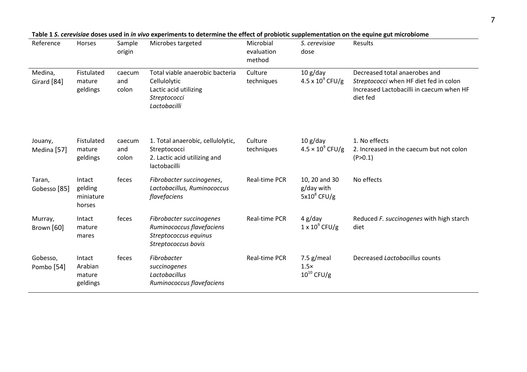| Reference                         | Horses                                   | Sample<br>origin       | Microbes targeted                                                                                        | Microbial<br>evaluation<br>method | S. cerevisiae<br>dose                           | <b>Results</b>                                                                                                                  |
|-----------------------------------|------------------------------------------|------------------------|----------------------------------------------------------------------------------------------------------|-----------------------------------|-------------------------------------------------|---------------------------------------------------------------------------------------------------------------------------------|
| Medina,<br>Girard [84]            | Fistulated<br>mature<br>geldings         | caecum<br>and<br>colon | Total viable anaerobic bacteria<br>Cellulolytic<br>Lactic acid utilizing<br>Streptococci<br>Lactobacilli | Culture<br>techniques             | 10 g/day<br>4.5 x $10^9$ CFU/g                  | Decreased total anaerobes and<br>Streptococci when HF diet fed in colon<br>Increased Lactobacilli in caecum when HF<br>diet fed |
| Jouany,<br>Medina [57]            | Fistulated<br>mature<br>geldings         | caecum<br>and<br>colon | 1. Total anaerobic, cellulolytic,<br>Streptococci<br>2. Lactic acid utilizing and<br>lactobacilli        | Culture<br>techniques             | 10 g/day<br>$4.5 \times 10^9$ CFU/g             | 1. No effects<br>2. Increased in the caecum but not colon<br>(P>0.1)                                                            |
| Taran,<br>Gobesso [85]            | Intact<br>gelding<br>miniature<br>horses | feces                  | Fibrobacter succinogenes,<br>Lactobacillus, Ruminococcus<br>flavefaciens                                 | Real-time PCR                     | 10, 20 and 30<br>g/day with<br>$5x10^8$ CFU/g   | No effects                                                                                                                      |
| Murray,<br>Brown [60]             | Intact<br>mature<br>mares                | feces                  | Fibrobacter succinogenes<br>Ruminococcus flavefaciens<br>Streptococcus equinus<br>Streptococcus bovis    | Real-time PCR                     | 4 g/day<br>$1 \times 10^9$ CFU/g                | Reduced F. succinogenes with high starch<br>diet                                                                                |
| Gobesso,<br>Pombo <sup>[54]</sup> | Intact<br>Arabian<br>mature<br>geldings  | feces                  | Fibrobacter<br>succinogenes<br>Lactobacillus<br>Ruminococcus flavefaciens                                | Real-time PCR                     | 7.5 $g$ /meal<br>$1.5\times$<br>$10^{10}$ CFU/g | Decreased Lactobacillus counts                                                                                                  |

| Table 1 S. cerevisiae doses used in in vivo experiments to determine the effect of probiotic supplementation on the equine gut microbiome |  |  |
|-------------------------------------------------------------------------------------------------------------------------------------------|--|--|
|                                                                                                                                           |  |  |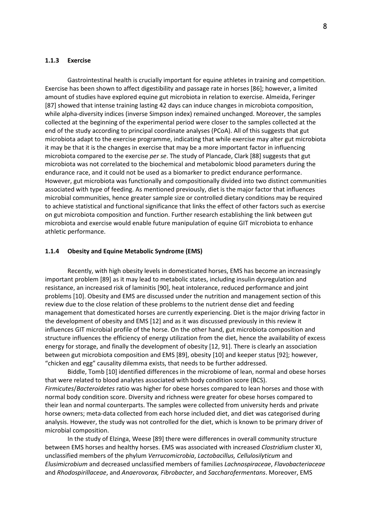## **1.1.3 Exercise**

Gastrointestinal health is crucially important for equine athletes in training and competition. Exercise has been shown to affect digestibility and passage rate in horses [86]; however, a limited amount of studies have explored equine gut microbiota in relation to exercise. Almeida, Feringer [87] showed that intense training lasting 42 days can induce changes in microbiota composition, while alpha-diversity indices (inverse Simpson index) remained unchanged. Moreover, the samples collected at the beginning of the experimental period were closer to the samples collected at the end of the study according to principal coordinate analyses (PCoA). All of this suggests that gut microbiota adapt to the exercise programme, indicating that while exercise may alter gut microbiota it may be that it is the changes in exercise that may be a more important factor in influencing microbiota compared to the exercise *per se*. The study of Plancade, Clark [88] suggests that gut microbiota was not correlated to the biochemical and metabolomic blood parameters during the endurance race, and it could not be used as a biomarker to predict endurance performance. However, gut microbiota was functionally and compositionally divided into two distinct communities associated with type of feeding. As mentioned previously, diet is the major factor that influences microbial communities, hence greater sample size or controlled dietary conditions may be required to achieve statistical and functional significance that links the effect of other factors such as exercise on gut microbiota composition and function. Further research establishing the link between gut microbiota and exercise would enable future manipulation of equine GIT microbiota to enhance athletic performance.

### **1.1.4 Obesity and Equine Metabolic Syndrome (EMS)**

Recently, with high obesity levels in domesticated horses, EMS has become an increasingly important problem [89] as it may lead to metabolic states, including insulin dysregulation and resistance, an increased risk of laminitis [90], heat intolerance, reduced performance and joint problems [10]. Obesity and EMS are discussed under the nutrition and management section of this review due to the close relation of these problems to the nutrient dense diet and feeding management that domesticated horses are currently experiencing. Diet is the major driving factor in the development of obesity and EMS [12] and as it was discussed previously in this review it influences GIT microbial profile of the horse. On the other hand, gut microbiota composition and structure influences the efficiency of energy utilization from the diet, hence the availability of excess energy for storage, and finally the development of obesity [12, 91]. There is clearly an association between gut microbiota composition and EMS [89], obesity [10] and keeper status [92]; however, "chicken and egg" causality dilemma exists, that needs to be further addressed.

Biddle, Tomb [10] identified differences in the microbiome of lean, normal and obese horses that were related to blood analytes associated with body condition score (BCS). *Firmicutes*/*Bacteroidetes* ratio was higher for obese horses compared to lean horses and those with normal body condition score. Diversity and richness were greater for obese horses compared to their lean and normal counterparts. The samples were collected from university herds and private horse owners; meta-data collected from each horse included diet, and diet was categorised during analysis. However, the study was not controlled for the diet, which is known to be primary driver of microbial composition.

In the study of Elzinga, Weese [89] there were differences in overall community structure between EMS horses and healthy horses. EMS was associated with increased *Clostridium* cluster XI, unclassified members of the phylum *Verrucomicrobia*, *Lactobacillus, Cellulosilyticum* and *Elusimicrobium* and decreased unclassified members of families *Lachnospiraceae*, *Flavobacteriaceae* and *Rhodospirillaceae*, and *Anaerovorax, Fibrobacter*, and *Saccharofermentans*. Moreover, EMS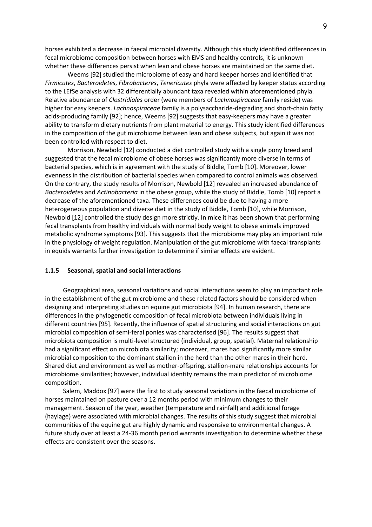horses exhibited a decrease in faecal microbial diversity. Although this study identified differences in fecal microbiome composition between horses with EMS and healthy controls, it is unknown whether these differences persist when lean and obese horses are maintained on the same diet.

Weems [92] studied the microbiome of easy and hard keeper horses and identified that *Firmicutes*, *Bacteroidetes*, *Fibrobacteres*, *Tenericutes* phyla were affected by keeper status according to the LEfSe analysis with 32 differentially abundant taxa revealed within aforementioned phyla. Relative abundance of *Clostridiales* order (were members of *Lachnospiraceae* family reside) was higher for easy keepers. *Lachnospiraceae* family is a polysaccharide-degrading and short-chain fatty acids-producing family [92]; hence, Weems [92] suggests that easy-keepers may have a greater ability to transform dietary nutrients from plant material to energy. This study identified differences in the composition of the gut microbiome between lean and obese subjects, but again it was not been controlled with respect to diet.

Morrison, Newbold [12] conducted a diet controlled study with a single pony breed and suggested that the fecal microbiome of obese horses was significantly more diverse in terms of bacterial species, which is in agreement with the study of Biddle, Tomb [10]. Moreover, lower evenness in the distribution of bacterial species when compared to control animals was observed. On the contrary, the study results of Morrison, Newbold [12] revealed an increased abundance of *Bacteroidetes* and *Actinobacteria* in the obese group, while the study of Biddle, Tomb [10] report a decrease of the aforementioned taxa. These differences could be due to having a more heterogeneous population and diverse diet in the study of Biddle, Tomb [10], while Morrison, Newbold [12] controlled the study design more strictly. In mice it has been shown that performing fecal transplants from healthy individuals with normal body weight to obese animals improved metabolic syndrome symptoms [93]. This suggests that the microbiome may play an important role in the physiology of weight regulation. Manipulation of the gut microbiome with faecal transplants in equids warrants further investigation to determine if similar effects are evident.

#### **1.1.5 Seasonal, spatial and social interactions**

Geographical area, seasonal variations and social interactions seem to play an important role in the establishment of the gut microbiome and these related factors should be considered when designing and interpreting studies on equine gut microbiota [94]. In human research, there are differences in the phylogenetic composition of fecal microbiota between individuals living in different countries [95]. Recently, the influence of spatial structuring and social interactions on gut microbial composition of semi-feral ponies was characterised [96]. The results suggest that microbiota composition is multi-level structured (individual, group, spatial). Maternal relationship had a significant effect on microbiota similarity; moreover, mares had significantly more similar microbial composition to the dominant stallion in the herd than the other mares in their herd. Shared diet and environment as well as mother-offspring, stallion-mare relationships accounts for microbiome similarities; however, individual identity remains the main predictor of microbiome composition.

Salem, Maddox [97] were the first to study seasonal variations in the faecal microbiome of horses maintained on pasture over a 12 months period with minimum changes to their management. Season of the year, weather (temperature and rainfall) and additional forage (haylage) were associated with microbial changes. The results of this study suggest that microbial communities of the equine gut are highly dynamic and responsive to environmental changes. A future study over at least a 24-36 month period warrants investigation to determine whether these effects are consistent over the seasons.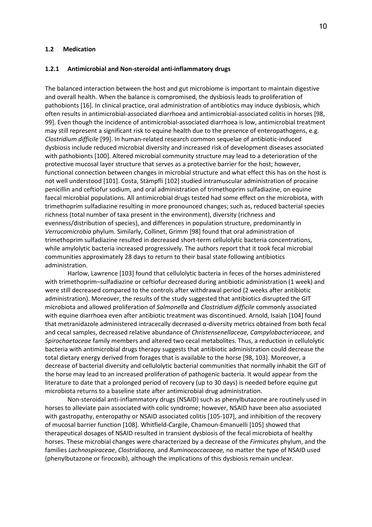#### **1.2 Medication**

#### **1.2.1 Antimicrobial and Non-steroidal anti-inflammatory drugs**

The balanced interaction between the host and gut microbiome is important to maintain digestive and overall health. When the balance is compromised, the dysbiosis leads to proliferation of pathobionts [16]. In clinical practice, oral administration of antibiotics may induce dysbiosis, which often results in antimicrobial-associated diarrhoea and antimicrobial-associated colitis in horses [98, 99]. Even though the incidence of antimicrobial-associated diarrhoea is low, antimicrobial treatment may still represent a significant risk to equine health due to the presence of enteropathogens, e.g. *Clostridium difficile* [99]. In human-related research common sequelae of antibiotic-induced dysbiosis include reduced microbial diversity and increased risk of development diseases associated with pathobionts [100]. Altered microbial community structure may lead to a deterioration of the protective mucosal layer structure that serves as a protective barrier for the host; however, functional connection between changes in microbial structure and what effect this has on the host is not well understood [101]. Costa, Stämpfli [102] studied intramuscular administration of procaine penicillin and ceftiofur sodium, and oral administration of trimethoprim sulfadiazine, on equine faecal microbial populations. All antimicrobial drugs tested had some effect on the microbiota, with trimethoprim sulfadiazine resulting in more pronounced changes; such as, reduced bacterial species richness (total number of taxa present in the environment), diversity (richness and evenness/distribution of species), and differences in population structure, predominantly in *Verrucomicrobia* phylum. Similarly, Collinet, Grimm [98] found that oral administration of trimethoprim sulfadiazine resulted in decreased short-term cellulolytic bacteria concentrations, while amylolytic bacteria increased progressively. The authors report that it took fecal microbial communities approximately 28 days to return to their basal state following antibiotics administration.

Harlow, Lawrence [103] found that cellulolytic bacteria in feces of the horses administered with trimethoprim–sulfadiazine or ceftiofur decreased during antibiotic administration (1 week) and were still decreased compared to the controls after withdrawal period (2 weeks after antibiotic administration). Moreover, the results of the study suggested that antibiotics disrupted the GIT microbiota and allowed proliferation of *Salmonella* and *Clostridium difficile* commonly associated with equine diarrhoea even after antibiotic treatment was discontinued. Arnold, Isaiah [104] found that metranidazole administered intracecally decreased α-diversity metrics obtained from both fecal and cecal samples, decreased relative abundance of *Christensenellaceae, Campylobacteriaceae,* and *Spirochaetaceae* family members and altered two cecal metabolites. Thus, a reduction in cellulolytic bacteria with antimicrobial drugs therapy suggests that antibiotic administration could decrease the total dietary energy derived from forages that is available to the horse [98, 103]. Moreover, a decrease of bacterial diversity and cellulolytic bacterial communities that normally inhabit the GIT of the horse may lead to an increased proliferation of pathogenic bacteria. It would appear from the literature to date that a prolonged period of recovery (up to 30 days) is needed before equine gut microbiota returns to a baseline state after antimicrobial drug administration.

Non-steroidal anti-inflammatory drugs (NSAID) such as phenylbutazone are routinely used in horses to alleviate pain associated with colic syndrome; however, NSAID have been also associated with gastropathy, enteropathy or NSAID associated colitis [105-107], and inhibition of the recovery of mucosal barrier function [108]. Whitfield-Cargile, Chamoun-Emanuelli [105] showed that therapeutical dosages of NSAID resulted in transient dysbiosis of the fecal microbiota of healthy horses. These microbial changes were characterized by a decrease of the *Firmicutes* phylum, and the families *Lachnospiraceae*, *Clostridiacea,* and *Ruminococcacaeae,* no matter the type of NSAID used (phenylbutazone or firocoxib), although the implications of this dysbiosis remain unclear.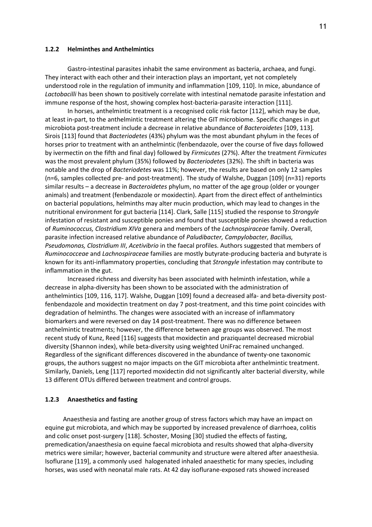#### **1.2.2 Helminthes and Anthelmintics**

Gastro-intestinal parasites inhabit the same environment as bacteria, archaea, and fungi. They interact with each other and their interaction plays an important, yet not completely understood role in the regulation of immunity and inflammation [109, 110]. In mice, abundance of *Lactobacilli* has been shown to positively correlate with intestinal nematode parasite infestation and immune response of the host, showing complex host-bacteria-parasite interaction [111].

In horses, anthelmintic treatment is a recognised colic risk factor [112], which may be due, at least in-part, to the anthelmintic treatment altering the GIT microbiome. Specific changes in gut microbiota post-treatment include a decrease in relative abundance of *Bacteroidetes* [109, 113]*.* Sirois [113] found that *Bacteriodetes* (43%) phylum was the most abundant phylum in the feces of horses prior to treatment with an anthelmintic (fenbendazole, over the course of five days followed by ivermectin on the fifth and final day) followed by *Firmicutes* (27%). After the treatment *Firmicutes* was the most prevalent phylum (35%) followed by *Bacteriodete*s (32%). The shift in bacteria was notable and the drop of *Bacteriodetes* was 11%; however, the results are based on only 12 samples (n=6, samples collected pre- and post-treatment). The study of Walshe, Duggan [109] (n=31) reports similar results – a decrease in *Bacteroidetes* phylum, no matter of the age group (older or younger animals) and treatment (fenbendazole or moxidectin). Apart from the direct effect of anthelmintics on bacterial populations, helminths may alter mucin production, which may lead to changes in the nutritional environment for gut bacteria [114]. Clark, Salle [115] studied the response to *Strongyle* infestation of resistant and susceptible ponies and found that susceptible ponies showed a reduction of *Ruminococcus, Clostridium XIVa* genera and members of the *Lachnospiraceae* family. Overall, parasite infection increased relative abundance of *Paludibacter, Campylobacter, Bacillus, Pseudomonas, Clostridium III*, *Acetivibrio* in the faecal profiles. Authors suggested that members of *Ruminococceae* and *Lachnospiraceae* families are mostly butyrate-producing bacteria and butyrate is known for its anti-inflammatory properties, concluding that *Strongyle* infestation may contribute to inflammation in the gut.

Increased richness and diversity has been associated with helminth infestation, while a decrease in alpha-diversity has been shown to be associated with the administration of anthelmintics [109, 116, 117]. Walshe, Duggan [109] found a decreased alfa- and beta-diversity postfenbendazole and moxidectin treatment on day 7 post-treatment, and this time point coincides with degradation of helminths. The changes were associated with an increase of inflammatory biomarkers and were reversed on day 14 post-treatment. There was no difference between anthelmintic treatments; however, the difference between age groups was observed. The most recent study of Kunz, Reed [116] suggests that moxidectin and praziquantel decreased microbial diversity (Shannon index), while beta-diversity using weighted UniFrac remained unchanged. Regardless of the significant differences discovered in the abundance of twenty-one taxonomic groups, the authors suggest no major impacts on the GIT microbiota after anthelmintic treatment. Similarly, Daniels, Leng [117] reported moxidectin did not significantly alter bacterial diversity, while 13 different OTUs differed between treatment and control groups.

## **1.2.3 Anaesthetics and fasting**

Anaesthesia and fasting are another group of stress factors which may have an impact on equine gut microbiota, and which may be supported by increased prevalence of diarrhoea, colitis and colic onset post-surgery [118]. Schoster, Mosing [30] studied the effects of fasting, premedication/anaesthesia on equine faecal microbiota and results showed that alpha-diversity metrics were similar; however, bacterial community and structure were altered after anaesthesia. Isoflurane [119], a commonly used halogenated inhaled anaesthetic for many species, including horses, was used with neonatal male rats. At 42 day isoflurane-exposed rats showed increased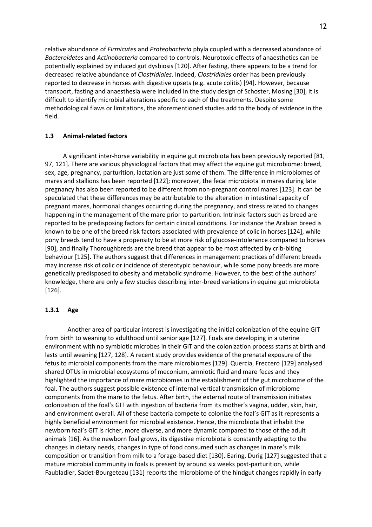relative abundance of *Firmicutes* and *Proteobacteria* phyla coupled with a decreased abundance of *Bacteroidetes* and *Actinobacteria* compared to controls. Neurotoxic effects of anaesthetics can be potentially explained by induced gut dysbiosis [120]. After fasting, there appears to be a trend for decreased relative abundance of *Clostridiales*. Indeed, *Clostridiales* order has been previously reported to decrease in horses with digestive upsets (e.g. acute colitis) [94]. However, because transport, fasting and anaesthesia were included in the study design of Schoster, Mosing [30], it is difficult to identify microbial alterations specific to each of the treatments. Despite some methodological flaws or limitations, the aforementioned studies add to the body of evidence in the field.

## **1.3 Animal-related factors**

A significant inter-horse variability in equine gut microbiota has been previously reported [81, 97, 121]. There are various physiological factors that may affect the equine gut microbiome: breed, sex, age, pregnancy, parturition, lactation are just some of them. The difference in microbiomes of mares and stallions has been reported [122]; moreover, the fecal microbiota in mares during late pregnancy has also been reported to be different from non-pregnant control mares [123]. It can be speculated that these differences may be attributable to the alteration in intestinal capacity of pregnant mares, hormonal changes occurring during the pregnancy, and stress related to changes happening in the management of the mare prior to parturition. Intrinsic factors such as breed are reported to be predisposing factors for certain clinical conditions. For instance the Arabian breed is known to be one of the breed risk factors associated with prevalence of colic in horses [124], while pony breeds tend to have a propensity to be at more risk of glucose-intolerance compared to horses [90], and finally Thoroughbreds are the breed that appear to be most affected by crib-biting behaviour [125]. The authors suggest that differences in management practices of different breeds may increase risk of colic or incidence of stereotypic behaviour, while some pony breeds are more genetically predisposed to obesity and metabolic syndrome. However, to the best of the authors' knowledge, there are only a few studies describing inter-breed variations in equine gut microbiota [126].

### **1.3.1 Age**

Another area of particular interest is investigating the initial colonization of the equine GIT from birth to weaning to adulthood until senior age [127]. Foals are developing in a uterine environment with no symbiotic microbes in their GIT and the colonization process starts at birth and lasts until weaning [127, 128]. A recent study provides evidence of the prenatal exposure of the fetus to microbial components from the mare microbiomes [129]. Quercia, Freccero [129] analysed shared OTUs in microbial ecosystems of meconium, amniotic fluid and mare feces and they highlighted the importance of mare microbiomes in the establishment of the gut microbiome of the foal. The authors suggest possible existence of internal vertical transmission of microbiome components from the mare to the fetus. After birth, the external route of transmission initiates colonization of the foal's GIT with ingestion of bacteria from its mother's vagina, udder, skin, hair, and environment overall. All of these bacteria compete to colonize the foal's GIT as it represents a highly beneficial environment for microbial existence. Hence, the microbiota that inhabit the newborn foal's GIT is richer, more diverse, and more dynamic compared to those of the adult animals [16]. As the newborn foal grows, its digestive microbiota is constantly adapting to the changes in dietary needs, changes in type of food consumed such as changes in mare's milk composition or transition from milk to a forage-based diet [130]. Earing, Durig [127] suggested that a mature microbial community in foals is present by around six weeks post-parturition, while Faubladier, Sadet-Bourgeteau [131] reports the microbiome of the hindgut changes rapidly in early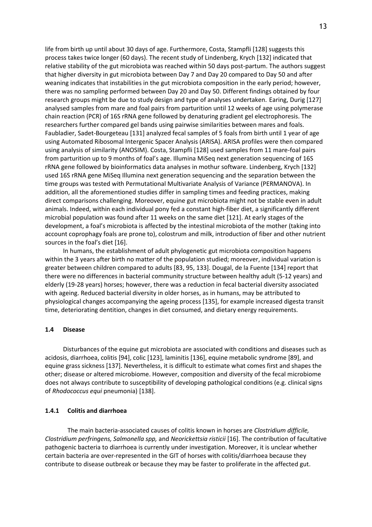life from birth up until about 30 days of age. Furthermore, Costa, Stampfli [128] suggests this process takes twice longer (60 days). The recent study of Lindenberg, Krych [132] indicated that relative stability of the gut microbiota was reached within 50 days post-partum. The authors suggest that higher diversity in gut microbiota between Day 7 and Day 20 compared to Day 50 and after weaning indicates that instabilities in the gut microbiota composition in the early period; however, there was no sampling performed between Day 20 and Day 50. Different findings obtained by four research groups might be due to study design and type of analyses undertaken. Earing, Durig [127] analysed samples from mare and foal pairs from parturition until 12 weeks of age using polymerase chain reaction (PCR) of 16S rRNA gene followed by denaturing gradient gel electrophoresis. The researchers further compared gel bands using pairwise similarities between mares and foals. Faubladier, Sadet-Bourgeteau [131] analyzed fecal samples of 5 foals from birth until 1 year of age using Automated Ribosomal Intergenic Spacer Analysis (ARISA). ARISA profiles were then compared using analysis of similarity (ANOSIM). Costa, Stampfli [128] used samples from 11 mare-foal pairs from parturition up to 9 months of foal's age. Illumina MiSeq next generation sequencing of 16S rRNA gene followed by bioinformatics data analyses in mothur software. Lindenberg, Krych [132] used 16S rRNA gene MiSeq Illumina next generation sequencing and the separation between the time groups was tested with Permutational Multivariate Analysis of Variance (PERMANOVA). In addition, all the aforementioned studies differ in sampling times and feeding practices, making direct comparisons challenging. Moreover, equine gut microbiota might not be stable even in adult animals. Indeed, within each individual pony fed a constant high-fiber diet, a significantly different microbial population was found after 11 weeks on the same diet [121]. At early stages of the development, a foal's microbiota is affected by the intestinal microbiota of the mother (taking into account coprophagy foals are prone to), colostrum and milk, introduction of fiber and other nutrient sources in the foal's diet [16].

In humans, the establishment of adult phylogenetic gut microbiota composition happens within the 3 years after birth no matter of the population studied; moreover, individual variation is greater between children compared to adults [83, 95, 133]. Dougal, de la Fuente [134] report that there were no differences in bacterial community structure between healthy adult (5-12 years) and elderly (19-28 years) horses; however, there was a reduction in fecal bacterial diversity associated with ageing. Reduced bacterial diversity in older horses, as in humans, may be attributed to physiological changes accompanying the ageing process [135], for example increased digesta transit time, deteriorating dentition, changes in diet consumed, and dietary energy requirements.

### **1.4 Disease**

Disturbances of the equine gut microbiota are associated with conditions and diseases such as acidosis, diarrhoea, colitis [94], colic [123], laminitis [136], equine metabolic syndrome [89], and equine grass sickness [137]. Nevertheless, it is difficult to estimate what comes first and shapes the other; disease or altered microbiome. However, composition and diversity of the fecal microbiome does not always contribute to susceptibility of developing pathological conditions (e.g. clinical signs of *Rhodococcus equi* pneumonia) [138].

#### **1.4.1 Colitis and diarrhoea**

The main bacteria-associated causes of colitis known in horses are *Clostridium difficile, Clostridium perfringens, Salmonella spp,* and *Neorickettsia risticii* [16]. The contribution of facultative pathogenic bacteria to diarrhoea is currently under investigation. Moreover, it is unclear whether certain bacteria are over-represented in the GIT of horses with colitis/diarrhoea because they contribute to disease outbreak or because they may be faster to proliferate in the affected gut.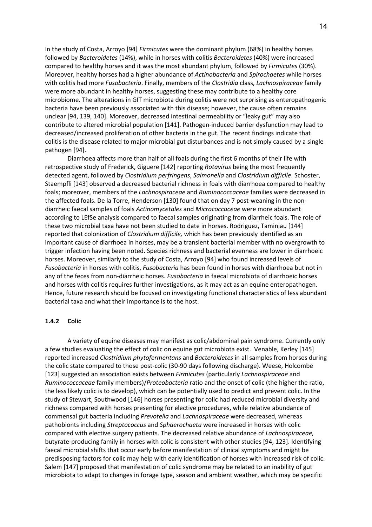In the study of Costa, Arroyo [94] *Firmicutes* were the dominant phylum (68%) in healthy horses followed by *Bacteroidetes* (14%), while in horses with colitis *Bacteroidetes* (40%) were increased compared to healthy horses and it was the most abundant phylum, followed by *Firmicutes* (30%). Moreover, healthy horses had a higher abundance of *Actinobacteria* and *Spirochaetes* while horses with colitis had more *Fusobacteria*. Finally, members of the *Clostridia* class, *Lachnospiraceae* family were more abundant in healthy horses, suggesting these may contribute to a healthy core microbiome. The alterations in GIT microbiota during colitis were not surprising as enteropathogenic bacteria have been previously associated with this disease; however, the cause often remains unclear [94, 139, 140]. Moreover, decreased intestinal permeability or "leaky gut" may also contribute to altered microbial population [141]. Pathogen-induced barrier dysfunction may lead to decreased/increased proliferation of other bacteria in the gut. The recent findings indicate that colitis is the disease related to major microbial gut disturbances and is not simply caused by a single pathogen [94].

Diarrhoea affects more than half of all foals during the first 6 months of their life with retrospective study of Frederick, Giguere [142] reporting *Rotavirus* being the most frequently detected agent, followed by *Clostridium perfringens*, *Salmonella* and *Clostridium difficile*. Schoster, Staempfli [143] observed a decreased bacterial richness in foals with diarrhoea compared to healthy foals; moreover, members of the *Lachnospiraceae* and *Ruminococcaceae* families were decreased in the affected foals. De la Torre, Henderson [130] found that on day 7 post-weaning in the nondiarrheic faecal samples of foals *Actinomycetales* and *Micrococcaceae* were more abundant according to LEfSe analysis compared to faecal samples originating from diarrheic foals. The role of these two microbial taxa have not been studied to date in horses. Rodriguez, Taminiau [144] reported that colonization of *Clostridium difficile,* which has been previously identified as an important cause of diarrhoea in horses, may be a transient bacterial member with no overgrowth to trigger infection having been noted. Species richness and bacterial evenness are lower in diarrhoeic horses. Moreover, similarly to the study of Costa, Arroyo [94] who found increased levels of *Fusobacteria* in horses with colitis, *Fusobacteria* has been found in horses with diarrhoea but not in any of the feces from non-diarrheic horses. *Fusobacteria* in faecal microbiota of diarrhoeic horses and horses with colitis requires further investigations, as it may act as an equine enteropathogen. Hence, future research should be focused on investigating functional characteristics of less abundant bacterial taxa and what their importance is to the host.

#### **1.4.2 Colic**

A variety of equine diseases may manifest as colic/abdominal pain syndrome. Currently only a few studies evaluating the effect of colic on equine gut microbiota exist. Venable, Kerley [145] reported increased *Clostridium phytofermentans* and *Bacteroidetes* in all samples from horses during the colic state compared to those post-colic (30-90 days following discharge). Weese, Holcombe [123] suggested an association exists between *Firmicutes* (particularly *Lachnospiraceae* and *Ruminococcaceae* family members)/*Proteobacteria* ratio and the onset of colic (the higher the ratio, the less likely colic is to develop), which can be potentially used to predict and prevent colic. In the study of Stewart, Southwood [146] horses presenting for colic had reduced microbial diversity and richness compared with horses presenting for elective procedures, while relative abundance of commensal gut bacteria including *Prevotella* and *Lachnospiraceae* were decreased, whereas pathobionts including *Streptococcus* and *Sphaerochaeta* were increased in horses with colic compared with elective surgery patients. The decreased relative abundance of *Lachnospiraceae,* butyrate-producing family in horses with colic is consistent with other studies [94, 123]. Identifying faecal microbial shifts that occur early before manifestation of clinical symptoms and might be predisposing factors for colic may help with early identification of horses with increased risk of colic. Salem [147] proposed that manifestation of colic syndrome may be related to an inability of gut microbiota to adapt to changes in forage type, season and ambient weather, which may be specific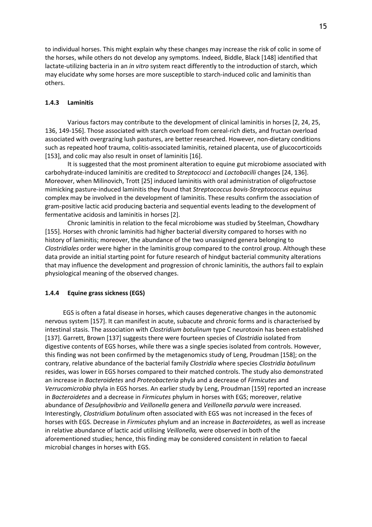to individual horses. This might explain why these changes may increase the risk of colic in some of the horses, while others do not develop any symptoms. Indeed, Biddle, Black [148] identified that lactate-utilizing bacteria in an *in vitro* system react differently to the introduction of starch, which may elucidate why some horses are more susceptible to starch-induced colic and laminitis than others.

## **1.4.3 Laminitis**

Various factors may contribute to the development of clinical laminitis in horses [2, 24, 25, 136, 149-156]. Those associated with starch overload from cereal-rich diets, and fructan overload associated with overgrazing lush pastures, are better researched. However, non-dietary conditions such as repeated hoof trauma, colitis-associated laminitis, retained placenta, use of glucocorticoids [153], and colic may also result in onset of laminitis [16].

It is suggested that the most prominent alteration to equine gut microbiome associated with carbohydrate-induced laminitis are credited to *Streptococci* and *Lactobacilli* changes [24, 136]. Moreover, when Milinovich, Trott [25] induced laminitis with oral administration of oligofructose mimicking pasture-induced laminitis they found that *Streptococcus bovis-Streptococcus equinus*  complex may be involved in the development of laminitis. These results confirm the association of gram-positive lactic acid producing bacteria and sequential events leading to the development of fermentative acidosis and laminitis in horses [2].

Chronic laminitis in relation to the fecal microbiome was studied by Steelman, Chowdhary [155]. Horses with chronic laminitis had higher bacterial diversity compared to horses with no history of laminitis; moreover, the abundance of the two unassigned genera belonging to *Clostridiales* order were higher in the laminitis group compared to the control group. Although these data provide an initial starting point for future research of hindgut bacterial community alterations that may influence the development and progression of chronic laminitis, the authors fail to explain physiological meaning of the observed changes.

### **1.4.4 Equine grass sickness (EGS)**

EGS is often a fatal disease in horses, which causes degenerative changes in the autonomic nervous system [157]. It can manifest in acute, subacute and chronic forms and is characterised by intestinal stasis. The association with *Clostridium botulinum* type C neurotoxin has been established [137]. Garrett, Brown [137] suggests there were fourteen species of *Clostridia* isolated from digestive contents of EGS horses, while there was a single species isolated from controls. However, this finding was not been confirmed by the metagenomics study of Leng, Proudman [158]; on the contrary, relative abundance of the bacterial family *Clostridia* where species *Clostridia botulinum* resides, was lower in EGS horses compared to their matched controls. The study also demonstrated an increase in *Bacteroidetes* and *Proteobacteria* phyla and a decrease of *Firmicutes* and *Verrucomicrobia* phyla in EGS horses. An earlier study by Leng, Proudman [159] reported an increase in *Bacteroidetes* and a decrease in *Firmicutes* phylum in horses with EGS; moreover, relative abundance of *Desulphovibrio* and *Veillonella* genera and *Veillonella parvula* were increased. Interestingly, *Clostridium botulinum* often associated with EGS was not increased in the feces of horses with EGS. Decrease in *Firmicutes* phylum and an increase in *Bacteroidetes,* as well as increase in relative abundance of lactic acid utilising *Veillonella,* were observed in both of the aforementioned studies; hence, this finding may be considered consistent in relation to faecal microbial changes in horses with EGS.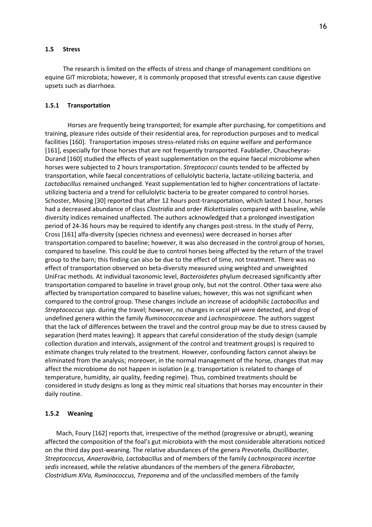#### **1.5 Stress**

The research is limited on the effects of stress and change of management conditions on equine GIT microbiota; however, it is commonly proposed that stressful events can cause digestive upsets such as diarrhoea.

#### **1.5.1 Transportation**

Horses are frequently being transported; for example after purchasing, for competitions and training, pleasure rides outside of their residential area, for reproduction purposes and to medical facilities [160]. Transportation imposes stress-related risks on equine welfare and performance [161], especially for those horses that are not frequently transported. Faubladier, Chaucheyras-Durand [160] studied the effects of yeast supplementation on the equine faecal microbiome when horses were subjected to 2 hours transportation. *Streptococci* counts tended to be affected by transportation, while faecal concentrations of cellulolytic bacteria, lactate-utilizing bacteria, and *Lactobacillus* remained unchanged. Yeast supplementation led to higher concentrations of lactateutilizing bacteria and a trend for cellulolytic bacteria to be greater compared to control horses. Schoster, Mosing [30] reported that after 12 hours post-transportation, which lasted 1 hour, horses had a decreased abundance of class *Clostridia* and order *Rickettsiales* compared with baseline, while diversity indices remained unaffected. The authors acknowledged that a prolonged investigation period of 24-36 hours may be required to identify any changes post-stress. In the study of Perry, Cross [161] alfa-diversity (species richness and evenness) were decreased in horses after transportation compared to baseline; however, it was also decreased in the control group of horses, compared to baseline. This could be due to control horses being affected by the return of the travel group to the barn; this finding can also be due to the effect of time, not treatment. There was no effect of transportation observed on beta-diversity measured using weighted and unweighted UniFrac methods. At individual taxonomic level, *Bacteroidetes* phylum decreased significantly after transportation compared to baseline in travel group only, but not the control. Other taxa were also affected by transportation compared to baseline values; however, this was not significant when compared to the control group. These changes include an increase of acidophilic *Lactobacillus* and *Streptococcus spp.* during the travel; however, no changes in cecal pH were detected, and drop of undefined genera within the family *Ruminococcaceae* and *Lachnospiraceae*. The authors suggest that the lack of differences between the travel and the control group may be due to stress caused by separation (herd mates leaving). It appears that careful consideration of the study design (sample collection duration and intervals, assignment of the control and treatment groups) is required to estimate changes truly related to the treatment. However, confounding factors cannot always be eliminated from the analysis; moreover, in the normal management of the horse, changes that may affect the microbiome do not happen in isolation (e.g. transportation is related to change of temperature, humidity, air quality, feeding regime). Thus, combined treatments should be considered in study designs as long as they mimic real situations that horses may encounter in their daily routine.

## **1.5.2 Weaning**

Mach, Foury [162] reports that, irrespective of the method (progressive or abrupt), weaning affected the composition of the foal's gut microbiota with the most considerable alterations noticed on the third day post-weaning. The relative abundances of the genera *Prevotella, Oscillibacter, Streptococcus, Anaerovibrio, Lactobacillus* and of members of the family *Lachnospiracea incertae sedis* increased, while the relative abundances of the members of the genera *Fibrobacter, Clostridium XIVa, Ruminococcus, Treponema* and of the unclassified members of the family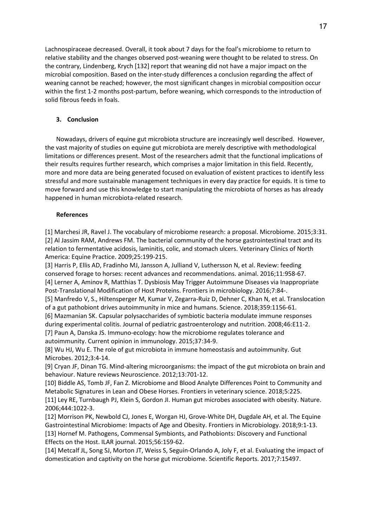Lachnospiraceae decreased. Overall, it took about 7 days for the foal's microbiome to return to relative stability and the changes observed post-weaning were thought to be related to stress. On the contrary, Lindenberg, Krych [132] report that weaning did not have a major impact on the microbial composition. Based on the inter-study differences a conclusion regarding the affect of weaning cannot be reached; however, the most significant changes in microbial composition occur within the first 1-2 months post-partum, before weaning, which corresponds to the introduction of solid fibrous feeds in foals.

# **3. Conclusion**

Nowadays, drivers of equine gut microbiota structure are increasingly well described. However, the vast majority of studies on equine gut microbiota are merely descriptive with methodological limitations or differences present. Most of the researchers admit that the functional implications of their results requires further research, which comprises a major limitation in this field. Recently, more and more data are being generated focused on evaluation of existent practices to identify less stressful and more sustainable management techniques in every day practice for equids. It is time to move forward and use this knowledge to start manipulating the microbiota of horses as has already happened in human microbiota-related research.

## **References**

[1] Marchesi JR, Ravel J. The vocabulary of microbiome research: a proposal. Microbiome. 2015;3:31. [2] Al Jassim RAM, Andrews FM. The bacterial community of the horse gastrointestinal tract and its relation to fermentative acidosis, laminitis, colic, and stomach ulcers. Veterinary Clinics of North America: Equine Practice. 2009;25:199-215.

[3] Harris P, Ellis AD, Fradinho MJ, Jansson A, Julliand V, Luthersson N, et al. Review: feeding conserved forage to horses: recent advances and recommendations. animal. 2016;11:958-67. [4] Lerner A, Aminov R, Matthias T. Dysbiosis May Trigger Autoimmune Diseases via Inappropriate Post-Translational Modification of Host Proteins. Frontiers in microbiology. 2016;7:84-.

[5] Manfredo V, S., Hiltensperger M, Kumar V, Zegarra-Ruiz D, Dehner C, Khan N, et al. Translocation of a gut pathobiont drives autoimmunity in mice and humans. Science. 2018;359:1156-61.

[6] Mazmanian SK. Capsular polysaccharides of symbiotic bacteria modulate immune responses during experimental colitis. Journal of pediatric gastroenterology and nutrition. 2008;46:E11-2.

[7] Paun A, Danska JS. Immuno-ecology: how the microbiome regulates tolerance and autoimmunity. Current opinion in immunology. 2015;37:34-9.

[8] Wu HJ, Wu E. The role of gut microbiota in immune homeostasis and autoimmunity. Gut Microbes. 2012;3:4-14.

[9] Cryan JF, Dinan TG. Mind-altering microorganisms: the impact of the gut microbiota on brain and behaviour. Nature reviews Neuroscience. 2012;13:701-12.

[10] Biddle AS, Tomb JF, Fan Z. Microbiome and Blood Analyte Differences Point to Community and Metabolic Signatures in Lean and Obese Horses. Frontiers in veterinary science. 2018;5:225.

[11] Ley RE, Turnbaugh PJ, Klein S, Gordon JI. Human gut microbes associated with obesity. Nature. 2006;444:1022-3.

[12] Morrison PK, Newbold CJ, Jones E, Worgan HJ, Grove-White DH, Dugdale AH, et al. The Equine Gastrointestinal Microbiome: Impacts of Age and Obesity. Frontiers in Microbiology. 2018;9:1-13. [13] Hornef M. Pathogens, Commensal Symbionts, and Pathobionts: Discovery and Functional Effects on the Host. ILAR journal. 2015;56:159-62.

[14] Metcalf JL, Song SJ, Morton JT, Weiss S, Seguin-Orlando A, Joly F, et al. Evaluating the impact of domestication and captivity on the horse gut microbiome. Scientific Reports. 2017;7:15497.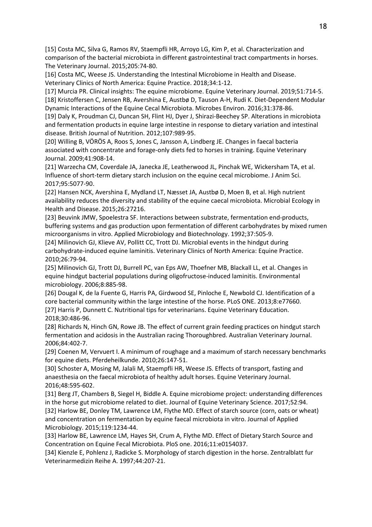[15] Costa MC, Silva G, Ramos RV, Staempfli HR, Arroyo LG, Kim P, et al. Characterization and comparison of the bacterial microbiota in different gastrointestinal tract compartments in horses. The Veterinary Journal. 2015;205:74-80.

[16] Costa MC, Weese JS. Understanding the Intestinal Microbiome in Health and Disease. Veterinary Clinics of North America: Equine Practice. 2018;34:1-12.

[17] Murcia PR. Clinical insights: The equine microbiome. Equine Veterinary Journal. 2019;51:714-5. [18] Kristoffersen C, Jensen RB, Avershina E, Austbø D, Tauson A-H, Rudi K. Diet-Dependent Modular Dynamic Interactions of the Equine Cecal Microbiota. Microbes Environ. 2016;31:378-86.

[19] Daly K, Proudman CJ, Duncan SH, Flint HJ, Dyer J, Shirazi-Beechey SP. Alterations in microbiota and fermentation products in equine large intestine in response to dietary variation and intestinal disease. British Journal of Nutrition. 2012;107:989-95.

[20] Willing B, VÖRÖS A, Roos S, Jones C, Jansson A, Lindberg JE. Changes in faecal bacteria associated with concentrate and forage-only diets fed to horses in training. Equine Veterinary Journal. 2009;41:908-14.

[21] Warzecha CM, Coverdale JA, Janecka JE, Leatherwood JL, Pinchak WE, Wickersham TA, et al. Influence of short-term dietary starch inclusion on the equine cecal microbiome. J Anim Sci. 2017;95:5077-90.

[22] Hansen NCK, Avershina E, Mydland LT, Næsset JA, Austbø D, Moen B, et al. High nutrient availability reduces the diversity and stability of the equine caecal microbiota. Microbial Ecology in Health and Disease. 2015;26:27216.

[23] Beuvink JMW, Spoelestra SF. Interactions between substrate, fermentation end-products, buffering systems and gas production upon fermentation of different carbohydrates by mixed rumen microorganisms in vitro. Applied Microbiology and Biotechnology. 1992;37:505-9.

[24] Milinovich GJ, Klieve AV, Pollitt CC, Trott DJ. Microbial events in the hindgut during carbohydrate-induced equine laminitis. Veterinary Clinics of North America: Equine Practice. 2010;26:79-94.

[25] Milinovich GJ, Trott DJ, Burrell PC, van Eps AW, Thoefner MB, Blackall LL, et al. Changes in equine hindgut bacterial populations during oligofructose-induced laminitis. Environmental microbiology. 2006;8:885-98.

[26] Dougal K, de la Fuente G, Harris PA, Girdwood SE, Pinloche E, Newbold CJ. Identification of a core bacterial community within the large intestine of the horse. PLoS ONE. 2013;8:e77660. [27] Harris P, Dunnett C. Nutritional tips for veterinarians. Equine Veterinary Education. 2018;30:486-96.

[28] Richards N, Hinch GN, Rowe JB. The effect of current grain feeding practices on hindgut starch fermentation and acidosis in the Australian racing Thoroughbred. Australian Veterinary Journal. 2006;84:402-7.

[29] Coenen M, Vervuert I. A minimum of roughage and a maximum of starch necessary benchmarks for equine diets. Pferdeheilkunde. 2010;26:147-51.

[30] Schoster A, Mosing M, Jalali M, Staempfli HR, Weese JS. Effects of transport, fasting and anaesthesia on the faecal microbiota of healthy adult horses. Equine Veterinary Journal. 2016;48:595-602.

[31] Berg JT, Chambers B, Siegel H, Biddle A. Equine microbiome project: understanding differences in the horse gut microbiome related to diet. Journal of Equine Veterinary Science. 2017;52:94. [32] Harlow BE, Donley TM, Lawrence LM, Flythe MD. Effect of starch source (corn, oats or wheat) and concentration on fermentation by equine faecal microbiota in vitro. Journal of Applied Microbiology. 2015;119:1234-44.

[33] Harlow BE, Lawrence LM, Hayes SH, Crum A, Flythe MD. Effect of Dietary Starch Source and Concentration on Equine Fecal Microbiota. PloS one. 2016;11:e0154037.

[34] Kienzle E, Pohlenz J, Radicke S. Morphology of starch digestion in the horse. Zentralblatt fur Veterinarmedizin Reihe A. 1997;44:207-21.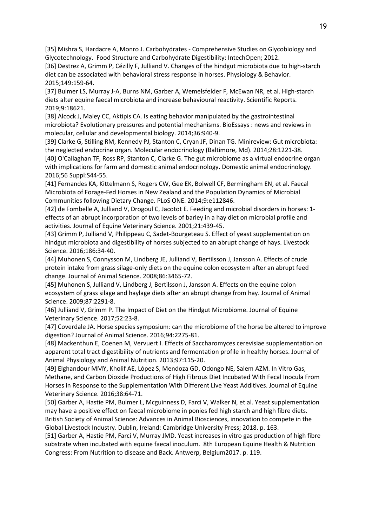[35] Mishra S, Hardacre A, Monro J. Carbohydrates - Comprehensive Studies on Glycobiology and Glycotechnology. Food Structure and Carbohydrate Digestibility: IntechOpen; 2012.

[36] Destrez A, Grimm P, Cézilly F, Julliand V. Changes of the hindgut microbiota due to high-starch diet can be associated with behavioral stress response in horses. Physiology & Behavior. 2015;149:159-64.

[37] Bulmer LS, Murray J-A, Burns NM, Garber A, Wemelsfelder F, McEwan NR, et al. High-starch diets alter equine faecal microbiota and increase behavioural reactivity. Scientific Reports. 2019;9:18621.

[38] Alcock J, Maley CC, Aktipis CA. Is eating behavior manipulated by the gastrointestinal microbiota? Evolutionary pressures and potential mechanisms. BioEssays : news and reviews in molecular, cellular and developmental biology. 2014;36:940-9.

[39] Clarke G, Stilling RM, Kennedy PJ, Stanton C, Cryan JF, Dinan TG. Minireview: Gut microbiota: the neglected endocrine organ. Molecular endocrinology (Baltimore, Md). 2014;28:1221-38. [40] O'Callaghan TF, Ross RP, Stanton C, Clarke G. The gut microbiome as a virtual endocrine organ

with implications for farm and domestic animal endocrinology. Domestic animal endocrinology. 2016;56 Suppl:S44-55.

[41] Fernandes KA, Kittelmann S, Rogers CW, Gee EK, Bolwell CF, Bermingham EN, et al. Faecal Microbiota of Forage-Fed Horses in New Zealand and the Population Dynamics of Microbial Communities following Dietary Change. PLoS ONE. 2014;9:e112846.

[42] de Fombelle A, Julliand V, Drogoul C, Jacotot E. Feeding and microbial disorders in horses: 1 effects of an abrupt incorporation of two levels of barley in a hay diet on microbial profile and activities. Journal of Equine Veterinary Science. 2001;21:439-45.

[43] Grimm P, Julliand V, Philippeau C, Sadet-Bourgeteau S. Effect of yeast supplementation on hindgut microbiota and digestibility of horses subjected to an abrupt change of hays. Livestock Science. 2016;186:34-40.

[44] Muhonen S, Connysson M, Lindberg JE, Julliand V, Bertilsson J, Jansson A. Effects of crude protein intake from grass silage-only diets on the equine colon ecosystem after an abrupt feed change. Journal of Animal Science. 2008;86:3465-72.

[45] Muhonen S, Julliand V, Lindberg J, Bertilsson J, Jansson A. Effects on the equine colon ecosystem of grass silage and haylage diets after an abrupt change from hay. Journal of Animal Science. 2009;87:2291-8.

[46] Julliand V, Grimm P. The Impact of Diet on the Hindgut Microbiome. Journal of Equine Veterinary Science. 2017;52:23-8.

[47] Coverdale JA. Horse species symposium: can the microbiome of the horse be altered to improve digestion? Journal of Animal Science. 2016;94:2275-81.

[48] Mackenthun E, Coenen M, Vervuert I. Effects of Saccharomyces cerevisiae supplementation on apparent total tract digestibility of nutrients and fermentation profile in healthy horses. Journal of Animal Physiology and Animal Nutrition. 2013;97:115-20.

[49] Elghandour MMY, Kholif AE, López S, Mendoza GD, Odongo NE, Salem AZM. In Vitro Gas, Methane, and Carbon Dioxide Productions of High Fibrous Diet Incubated With Fecal Inocula From Horses in Response to the Supplementation With Different Live Yeast Additives. Journal of Equine Veterinary Science. 2016;38:64-71.

[50] Garber A, Hastie PM, Bulmer L, Mcguinness D, Farci V, Walker N, et al. Yeast supplementation may have a positive effect on faecal microbiome in ponies fed high starch and high fibre diets. British Society of Animal Science: Advances in Animal Biosciences, innovation to compete in the Global Livestock Industry. Dublin, Ireland: Cambridge University Press; 2018. p. 163.

[51] Garber A, Hastie PM, Farci V, Murray JMD. Yeast increases in vitro gas production of high fibre substrate when incubated with equine faecal inoculum. 8th European Equine Health & Nutrition Congress: From Nutrition to disease and Back. Antwerp, Belgium2017. p. 119.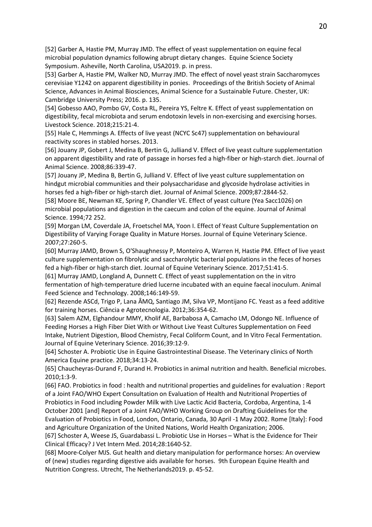[52] Garber A, Hastie PM, Murray JMD. The effect of yeast supplementation on equine fecal microbial population dynamics following abrupt dietary changes. Equine Science Society Symposium. Asheville, North Carolina, USA2019. p. in press.

[53] Garber A, Hastie PM, Walker ND, Murray JMD. The effect of novel yeast strain Saccharomyces cerevisiae Y1242 on apparent digestibility in ponies. Proceedings of the British Society of Animal Science, Advances in Animal Biosciences, Animal Science for a Sustainable Future. Chester, UK: Cambridge University Press; 2016. p. 135.

[54] Gobesso AAO, Pombo GV, Costa RL, Pereira YS, Feltre K. Effect of yeast supplementation on digestibility, fecal microbiota and serum endotoxin levels in non-exercising and exercising horses. Livestock Science. 2018;215:21-4.

[55] Hale C, Hemmings A. Effects of live yeast (NCYC Sc47) supplementation on behavioural reactivity scores in stabled horses. 2013.

[56] Jouany JP, Gobert J, Medina B, Bertin G, Julliand V. Effect of live yeast culture supplementation on apparent digestibility and rate of passage in horses fed a high-fiber or high-starch diet. Journal of Animal Science. 2008;86:339-47.

[57] Jouany JP, Medina B, Bertin G, Julliand V. Effect of live yeast culture supplementation on hindgut microbial communities and their polysaccharidase and glycoside hydrolase activities in horses fed a high-fiber or high-starch diet. Journal of Animal Science. 2009;87:2844-52.

[58] Moore BE, Newman KE, Spring P, Chandler VE. Effect of yeast culture (Yea Sacc1026) on microbial populations and digestion in the caecum and colon of the equine. Journal of Animal Science. 1994;72 252.

[59] Morgan LM, Coverdale JA, Froetschel MA, Yoon I. Effect of Yeast Culture Supplementation on Digestibility of Varying Forage Quality in Mature Horses. Journal of Equine Veterinary Science. 2007;27:260-5.

[60] Murray JAMD, Brown S, O'Shaughnessy P, Monteiro A, Warren H, Hastie PM. Effect of live yeast culture supplementation on fibrolytic and saccharolytic bacterial populations in the feces of horses fed a high-fiber or high-starch diet. Journal of Equine Veterinary Science. 2017;51:41-5.

[61] Murray JAMD, Longland A, Dunnett C. Effect of yeast supplementation on the in vitro fermentation of high-temperature dried lucerne incubated with an equine faecal inoculum. Animal Feed Science and Technology. 2008;146:149-59.

[62] Rezende ASCd, Trigo P, Lana ÂMQ, Santiago JM, Silva VP, Montijano FC. Yeast as a feed additive for training horses. Ciência e Agrotecnologia. 2012;36:354-62.

[63] Salem AZM, Elghandour MMY, Kholif AE, Barbabosa A, Camacho LM, Odongo NE. Influence of Feeding Horses a High Fiber Diet With or Without Live Yeast Cultures Supplementation on Feed Intake, Nutrient Digestion, Blood Chemistry, Fecal Coliform Count, and In Vitro Fecal Fermentation. Journal of Equine Veterinary Science. 2016;39:12-9.

[64] Schoster A. Probiotic Use in Equine Gastrointestinal Disease. The Veterinary clinics of North America Equine practice. 2018;34:13-24.

[65] Chaucheyras-Durand F, Durand H. Probiotics in animal nutrition and health. Beneficial microbes. 2010;1:3-9.

[66] FAO. Probiotics in food : health and nutritional properties and guidelines for evaluation : Report of a Joint FAO/WHO Expert Consultation on Evaluation of Health and Nutritional Properties of Probiotics in Food including Powder Milk with Live Lactic Acid Bacteria, Cordoba, Argentina, 1-4 October 2001 [and] Report of a Joint FAO/WHO Working Group on Drafting Guidelines for the Evaluation of Probiotics in Food, London, Ontario, Canada, 30 April -1 May 2002. Rome [Italy]: Food and Agriculture Organization of the United Nations, World Health Organization; 2006.

[67] Schoster A, Weese JS, Guardabassi L. Probiotic Use in Horses – What is the Evidence for Their Clinical Efficacy? J Vet Intern Med. 2014;28:1640-52.

[68] Moore-Colyer MJS. Gut health and dietary manipulation for performance horses: An overview of (new) studies regarding digestive aids available for horses. 9th European Equine Health and Nutrition Congress. Utrecht, The Netherlands2019. p. 45-52.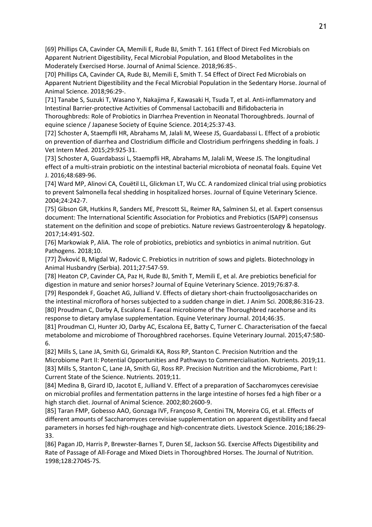[69] Phillips CA, Cavinder CA, Memili E, Rude BJ, Smith T. 161 Effect of Direct Fed Microbials on Apparent Nutrient Digestibility, Fecal Microbial Population, and Blood Metabolites in the Moderately Exercised Horse. Journal of Animal Science. 2018;96:85-.

[70] Phillips CA, Cavinder CA, Rude BJ, Memili E, Smith T. 54 Effect of Direct Fed Microbials on Apparent Nutrient Digestibility and the Fecal Microbial Population in the Sedentary Horse. Journal of Animal Science. 2018;96:29-.

[71] Tanabe S, Suzuki T, Wasano Y, Nakajima F, Kawasaki H, Tsuda T, et al. Anti-inflammatory and Intestinal Barrier-protective Activities of Commensal Lactobacilli and Bifidobacteria in

Thoroughbreds: Role of Probiotics in Diarrhea Prevention in Neonatal Thoroughbreds. Journal of equine science / Japanese Society of Equine Science. 2014;25:37-43.

[72] Schoster A, Staempfli HR, Abrahams M, Jalali M, Weese JS, Guardabassi L. Effect of a probiotic on prevention of diarrhea and Clostridium difficile and Clostridium perfringens shedding in foals. J Vet Intern Med. 2015;29:925-31.

[73] Schoster A, Guardabassi L, Staempfli HR, Abrahams M, Jalali M, Weese JS. The longitudinal effect of a multi-strain probiotic on the intestinal bacterial microbiota of neonatal foals. Equine Vet J. 2016;48:689-96.

[74] Ward MP, Alinovi CA, Couëtil LL, Glickman LT, Wu CC. A randomized clinical trial using probiotics to prevent Salmonella fecal shedding in hospitalized horses. Journal of Equine Veterinary Science. 2004;24:242-7.

[75] Gibson GR, Hutkins R, Sanders ME, Prescott SL, Reimer RA, Salminen SJ, et al. Expert consensus document: The International Scientific Association for Probiotics and Prebiotics (ISAPP) consensus statement on the definition and scope of prebiotics. Nature reviews Gastroenterology & hepatology. 2017;14:491-502.

[76] Markowiak P, AliA. The role of probiotics, prebiotics and synbiotics in animal nutrition. Gut Pathogens. 2018;10.

[77] Živković B, Migdal W, Radovic C. Prebiotics in nutrition of sows and piglets. Biotechnology in Animal Husbandry (Serbia). 2011;27:547-59.

[78] Heaton CP, Cavinder CA, Paz H, Rude BJ, Smith T, Memili E, et al. Are prebiotics beneficial for digestion in mature and senior horses? Journal of Equine Veterinary Science. 2019;76:87-8.

[79] Respondek F, Goachet AG, Julliand V. Effects of dietary short-chain fructooligosaccharides on the intestinal microflora of horses subjected to a sudden change in diet. J Anim Sci. 2008;86:316-23. [80] Proudman C, Darby A, Escalona E. Faecal microbiome of the Thoroughbred racehorse and its response to dietary amylase supplementation. Equine Veterinary Journal. 2014;46:35.

[81] Proudman CJ, Hunter JO, Darby AC, Escalona EE, Batty C, Turner C. Characterisation of the faecal metabolome and microbiome of Thoroughbred racehorses. Equine Veterinary Journal. 2015;47:580- 6.

[82] Mills S, Lane JA, Smith GJ, Grimaldi KA, Ross RP, Stanton C. Precision Nutrition and the Microbiome Part II: Potential Opportunities and Pathways to Commercialisation. Nutrients. 2019;11. [83] Mills S, Stanton C, Lane JA, Smith GJ, Ross RP. Precision Nutrition and the Microbiome, Part I: Current State of the Science. Nutrients. 2019;11.

[84] Medina B, Girard ID, Jacotot E, Julliand V. Effect of a preparation of Saccharomyces cerevisiae on microbial profiles and fermentation patterns in the large intestine of horses fed a high fiber or a high starch diet. Journal of Animal Science. 2002;80:2600-9.

[85] Taran FMP, Gobesso AAO, Gonzaga IVF, Françoso R, Centini TN, Moreira CG, et al. Effects of different amounts of Saccharomyces cerevisiae supplementation on apparent digestibility and faecal parameters in horses fed high-roughage and high-concentrate diets. Livestock Science. 2016;186:29- 33.

[86] Pagan JD, Harris P, Brewster-Barnes T, Duren SE, Jackson SG. Exercise Affects Digestibility and Rate of Passage of All-Forage and Mixed Diets in Thoroughbred Horses. The Journal of Nutrition. 1998;128:2704S-7S.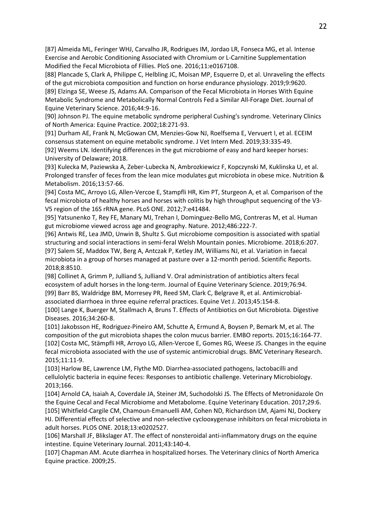[87] Almeida ML, Feringer WHJ, Carvalho JR, Rodrigues IM, Jordao LR, Fonseca MG, et al. Intense Exercise and Aerobic Conditioning Associated with Chromium or L-Carnitine Supplementation Modified the Fecal Microbiota of Fillies. PloS one. 2016;11:e0167108.

[88] Plancade S, Clark A, Philippe C, Helbling JC, Moisan MP, Esquerre D, et al. Unraveling the effects of the gut microbiota composition and function on horse endurance physiology. 2019;9:9620.

[89] Elzinga SE, Weese JS, Adams AA. Comparison of the Fecal Microbiota in Horses With Equine Metabolic Syndrome and Metabolically Normal Controls Fed a Similar All-Forage Diet. Journal of Equine Veterinary Science. 2016;44:9-16.

[90] Johnson PJ. The equine metabolic syndrome peripheral Cushing's syndrome. Veterinary Clinics of North America: Equine Practice. 2002;18:271-93.

[91] Durham AE, Frank N, McGowan CM, Menzies-Gow NJ, Roelfsema E, Vervuert I, et al. ECEIM consensus statement on equine metabolic syndrome. J Vet Intern Med. 2019;33:335-49.

[92] Weems LN. Identifying differences in the gut microbiome of easy and hard keeper horses: University of Delaware; 2018.

[93] Kulecka M, Paziewska A, Zeber-Lubecka N, Ambrozkiewicz F, Kopczynski M, Kuklinska U, et al. Prolonged transfer of feces from the lean mice modulates gut microbiota in obese mice. Nutrition & Metabolism. 2016;13:57-66.

[94] Costa MC, Arroyo LG, Allen-Vercoe E, Stampfli HR, Kim PT, Sturgeon A, et al. Comparison of the fecal microbiota of healthy horses and horses with colitis by high throughput sequencing of the V3- V5 region of the 16S rRNA gene. PLoS ONE. 2012;7:e41484.

[95] Yatsunenko T, Rey FE, Manary MJ, Trehan I, Dominguez-Bello MG, Contreras M, et al. Human gut microbiome viewed across age and geography. Nature. 2012;486:222-7.

[96] Antwis RE, Lea JMD, Unwin B, Shultz S. Gut microbiome composition is associated with spatial structuring and social interactions in semi-feral Welsh Mountain ponies. Microbiome. 2018;6:207. [97] Salem SE, Maddox TW, Berg A, Antczak P, Ketley JM, Williams NJ, et al. Variation in faecal microbiota in a group of horses managed at pasture over a 12-month period. Scientific Reports. 2018;8:8510.

[98] Collinet A, Grimm P, Julliand S, Julliand V. Oral administration of antibiotics alters fecal ecosystem of adult horses in the long-term. Journal of Equine Veterinary Science. 2019;76:94. [99] Barr BS, Waldridge BM, Morresey PR, Reed SM, Clark C, Belgrave R, et al. Antimicrobialassociated diarrhoea in three equine referral practices. Equine Vet J. 2013;45:154-8.

[100] Lange K, Buerger M, Stallmach A, Bruns T. Effects of Antibiotics on Gut Microbiota. Digestive Diseases. 2016;34:260-8.

[101] Jakobsson HE, Rodriguez-Pineiro AM, Schutte A, Ermund A, Boysen P, Bemark M, et al. The composition of the gut microbiota shapes the colon mucus barrier. EMBO reports. 2015;16:164-77. [102] Costa MC, Stämpfli HR, Arroyo LG, Allen-Vercoe E, Gomes RG, Weese JS. Changes in the equine fecal microbiota associated with the use of systemic antimicrobial drugs. BMC Veterinary Research. 2015;11:11-9.

[103] Harlow BE, Lawrence LM, Flythe MD. Diarrhea-associated pathogens, lactobacilli and cellulolytic bacteria in equine feces: Responses to antibiotic challenge. Veterinary Microbiology. 2013;166.

[104] Arnold CA, Isaiah A, Coverdale JA, Steiner JM, Suchodolski JS. The Effects of Metronidazole On the Equine Cecal and Fecal Microbiome and Metabolome. Equine Veterinary Education. 2017;29:6. [105] Whitfield-Cargile CM, Chamoun-Emanuelli AM, Cohen ND, Richardson LM, Ajami NJ, Dockery HJ. Differential effects of selective and non-selective cyclooxygenase inhibitors on fecal microbiota in adult horses. PLOS ONE. 2018;13:e0202527.

[106] Marshall JF, Blikslager AT. The effect of nonsteroidal anti-inflammatory drugs on the equine intestine. Equine Veterinary Journal. 2011;43:140-4.

[107] Chapman AM. Acute diarrhea in hospitalized horses. The Veterinary clinics of North America Equine practice. 2009;25.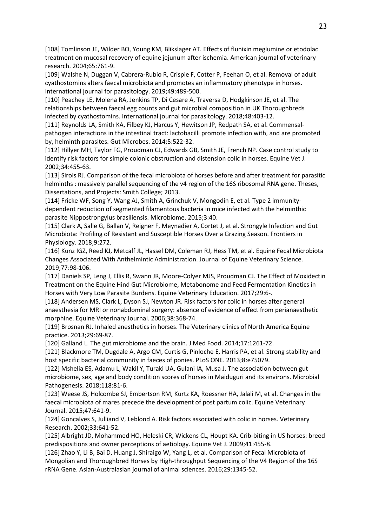[108] Tomlinson JE, Wilder BO, Young KM, Blikslager AT. Effects of flunixin meglumine or etodolac treatment on mucosal recovery of equine jejunum after ischemia. American journal of veterinary research. 2004;65:761-9.

[109] Walshe N, Duggan V, Cabrera-Rubio R, Crispie F, Cotter P, Feehan O, et al. Removal of adult cyathostomins alters faecal microbiota and promotes an inflammatory phenotype in horses. International journal for parasitology. 2019;49:489-500.

[110] Peachey LE, Molena RA, Jenkins TP, Di Cesare A, Traversa D, Hodgkinson JE, et al. The relationships between faecal egg counts and gut microbial composition in UK Thoroughbreds infected by cyathostomins. International journal for parasitology. 2018;48:403-12.

[111] Reynolds LA, Smith KA, Filbey KJ, Harcus Y, Hewitson JP, Redpath SA, et al. Commensalpathogen interactions in the intestinal tract: lactobacilli promote infection with, and are promoted by, helminth parasites. Gut Microbes. 2014;5:522-32.

[112] Hillyer MH, Taylor FG, Proudman CJ, Edwards GB, Smith JE, French NP. Case control study to identify risk factors for simple colonic obstruction and distension colic in horses. Equine Vet J. 2002;34:455-63.

[113] Sirois RJ. Comparison of the fecal microbiota of horses before and after treatment for parasitic helminths : massively parallel sequencing of the v4 region of the 16S ribosomal RNA gene. Theses, Dissertations, and Projects: Smith College; 2013.

[114] Fricke WF, Song Y, Wang AJ, Smith A, Grinchuk V, Mongodin E, et al. Type 2 immunitydependent reduction of segmented filamentous bacteria in mice infected with the helminthic parasite Nippostrongylus brasiliensis. Microbiome. 2015;3:40.

[115] Clark A, Salle G, Ballan V, Reigner F, Meynadier A, Cortet J, et al. Strongyle Infection and Gut Microbiota: Profiling of Resistant and Susceptible Horses Over a Grazing Season. Frontiers in Physiology. 2018;9:272.

[116] Kunz IGZ, Reed KJ, Metcalf JL, Hassel DM, Coleman RJ, Hess TM, et al. Equine Fecal Microbiota Changes Associated With Anthelmintic Administration. Journal of Equine Veterinary Science. 2019;77:98-106.

[117] Daniels SP, Leng J, Ellis R, Swann JR, Moore-Colyer MJS, Proudman CJ. The Effect of Moxidectin Treatment on the Equine Hind Gut Microbiome, Metabonome and Feed Fermentation Kinetics in Horses with Very Low Parasite Burdens. Equine Veterinary Education. 2017;29:6-.

[118] Andersen MS, Clark L, Dyson SJ, Newton JR. Risk factors for colic in horses after general anaesthesia for MRI or nonabdominal surgery: absence of evidence of effect from perianaesthetic morphine. Equine Veterinary Journal. 2006;38:368-74.

[119] Brosnan RJ. Inhaled anesthetics in horses. The Veterinary clinics of North America Equine practice. 2013;29:69-87.

[120] Galland L. The gut microbiome and the brain. J Med Food. 2014;17:1261-72.

[121] Blackmore TM, Dugdale A, Argo CM, Curtis G, Pinloche E, Harris PA, et al. Strong stability and host specific bacterial community in faeces of ponies. PLoS ONE. 2013;8:e75079.

[122] Mshelia ES, Adamu L, Wakil Y, Turaki UA, Gulani IA, Musa J. The association between gut microbiome, sex, age and body condition scores of horses in Maiduguri and its environs. Microbial Pathogenesis. 2018;118:81-6.

[123] Weese JS, Holcombe SJ, Embertson RM, Kurtz KA, Roessner HA, Jalali M, et al. Changes in the faecal microbiota of mares precede the development of post partum colic. Equine Veterinary Journal. 2015;47:641-9.

[124] Goncalves S, Julliand V, Leblond A. Risk factors associated with colic in horses. Veterinary Research. 2002;33:641-52.

[125] Albright JD, Mohammed HO, Heleski CR, Wickens CL, Houpt KA. Crib-biting in US horses: breed predispositions and owner perceptions of aetiology. Equine Vet J. 2009;41:455-8.

[126] Zhao Y, Li B, Bai D, Huang J, Shiraigo W, Yang L, et al. Comparison of Fecal Microbiota of Mongolian and Thoroughbred Horses by High-throughput Sequencing of the V4 Region of the 16S rRNA Gene. Asian-Australasian journal of animal sciences. 2016;29:1345-52.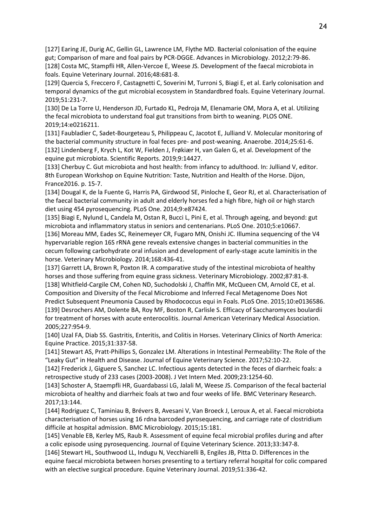[127] Earing JE, Durig AC, Gellin GL, Lawrence LM, Flythe MD. Bacterial colonisation of the equine gut; Comparison of mare and foal pairs by PCR-DGGE. Advances in Microbiology. 2012;2:79-86. [128] Costa MC, Stampfli HR, Allen-Vercoe E, Weese JS. Development of the faecal microbiota in

foals. Equine Veterinary Journal. 2016;48:681-8. [129] Quercia S, Freccero F, Castagnetti C, Soverini M, Turroni S, Biagi E, et al. Early colonisation and temporal dynamics of the gut microbial ecosystem in Standardbred foals. Equine Veterinary Journal. 2019;51:231-7.

[130] De La Torre U, Henderson JD, Furtado KL, Pedroja M, Elenamarie OM, Mora A, et al. Utilizing the fecal microbiota to understand foal gut transitions from birth to weaning. PLOS ONE. 2019;14:e0216211.

[131] Faubladier C, Sadet-Bourgeteau S, Philippeau C, Jacotot E, Julliand V. Molecular monitoring of the bacterial community structure in foal feces pre- and post-weaning. Anaerobe. 2014;25:61-6. [132] Lindenberg F, Krych L, Kot W, Fielden J, Frøkiær H, van Galen G, et al. Development of the equine gut microbiota. Scientific Reports. 2019;9:14427.

[133] Cherbuy C. Gut microbiota and host health: from infancy to adulthood. In: Julliand V, editor. 8th European Workshop on Equine Nutrition: Taste, Nutrition and Health of the Horse. Dijon, France2016. p. 15-7.

[134] Dougal K, de la Fuente G, Harris PA, Girdwood SE, Pinloche E, Geor RJ, et al. Characterisation of the faecal bacterial community in adult and elderly horses fed a high fibre, high oil or high starch diet using 454 pyrosequencing. PLoS One. 2014;9:e87424.

[135] Biagi E, Nylund L, Candela M, Ostan R, Bucci L, Pini E, et al. Through ageing, and beyond: gut microbiota and inflammatory status in seniors and centenarians. PLoS One. 2010;5:e10667.

[136] Moreau MM, Eades SC, Reinemeyer CR, Fugaro MN, Onishi JC. Illumina sequencing of the V4 hypervariable region 16S rRNA gene reveals extensive changes in bacterial communities in the cecum following carbohydrate oral infusion and development of early-stage acute laminitis in the horse. Veterinary Microbiology. 2014;168:436-41.

[137] Garrett LA, Brown R, Poxton IR. A comparative study of the intestinal microbiota of healthy horses and those suffering from equine grass sickness. Veterinary Microbiology. 2002;87:81-8. [138] Whitfield-Cargile CM, Cohen ND, Suchodolski J, Chaffin MK, McQueen CM, Arnold CE, et al. Composition and Diversity of the Fecal Microbiome and Inferred Fecal Metagenome Does Not Predict Subsequent Pneumonia Caused by Rhodococcus equi in Foals. PLoS One. 2015;10:e0136586. [139] Desrochers AM, Dolente BA, Roy MF, Boston R, Carlisle S. Efficacy of Saccharomyces boulardii for treatment of horses with acute enterocolitis. Journal American Veterinary Medical Association. 2005;227:954-9.

[140] Uzal FA, Diab SS. Gastritis, Enteritis, and Colitis in Horses. Veterinary Clinics of North America: Equine Practice. 2015;31:337-58.

[141] Stewart AS, Pratt-Phillips S, Gonzalez LM. Alterations in Intestinal Permeability: The Role of the "Leaky Gut" in Health and Disease. Journal of Equine Veterinary Science. 2017;52:10-22.

[142] Frederick J, Giguere S, Sanchez LC. Infectious agents detected in the feces of diarrheic foals: a retrospective study of 233 cases (2003-2008). J Vet Intern Med. 2009;23:1254-60.

[143] Schoster A, Staempfli HR, Guardabassi LG, Jalali M, Weese JS. Comparison of the fecal bacterial microbiota of healthy and diarrheic foals at two and four weeks of life. BMC Veterinary Research. 2017;13:144.

[144] Rodriguez C, Taminiau B, Brévers B, Avesani V, Van Broeck J, Leroux A, et al. Faecal microbiota characterisation of horses using 16 rdna barcoded pyrosequencing, and carriage rate of clostridium difficile at hospital admission. BMC Microbiology. 2015;15:181.

[145] Venable EB, Kerley MS, Raub R. Assessment of equine fecal microbial profiles during and after a colic episode using pyrosequencing. Journal of Equine Veterinary Science. 2013;33:347-8.

[146] Stewart HL, Southwood LL, Indugu N, Vecchiarelli B, Engiles JB, Pitta D. Differences in the equine faecal microbiota between horses presenting to a tertiary referral hospital for colic compared with an elective surgical procedure. Equine Veterinary Journal. 2019;51:336-42.